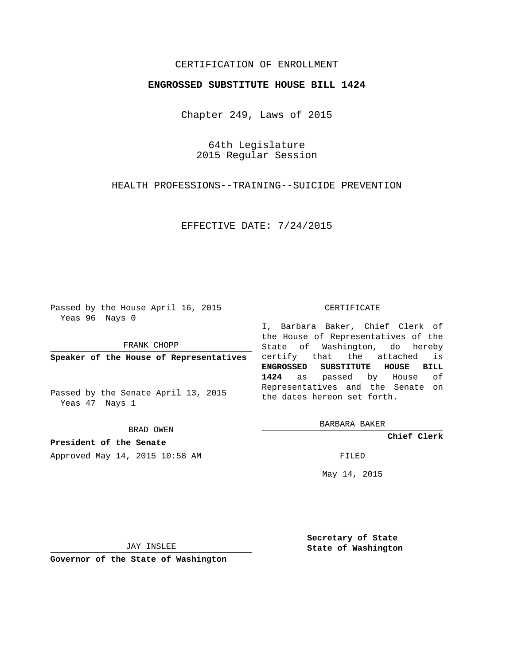## CERTIFICATION OF ENROLLMENT

## **ENGROSSED SUBSTITUTE HOUSE BILL 1424**

Chapter 249, Laws of 2015

64th Legislature 2015 Regular Session

HEALTH PROFESSIONS--TRAINING--SUICIDE PREVENTION

EFFECTIVE DATE: 7/24/2015

Passed by the House April 16, 2015 Yeas 96 Nays 0

FRANK CHOPP

**Speaker of the House of Representatives**

Passed by the Senate April 13, 2015 Yeas 47 Nays 1

BRAD OWEN

**President of the Senate** Approved May 14, 2015 10:58 AM FILED

#### CERTIFICATE

I, Barbara Baker, Chief Clerk of the House of Representatives of the State of Washington, do hereby certify that the attached is **ENGROSSED SUBSTITUTE HOUSE BILL 1424** as passed by House of Representatives and the Senate on the dates hereon set forth.

BARBARA BAKER

**Chief Clerk**

May 14, 2015

JAY INSLEE

**Governor of the State of Washington**

**Secretary of State State of Washington**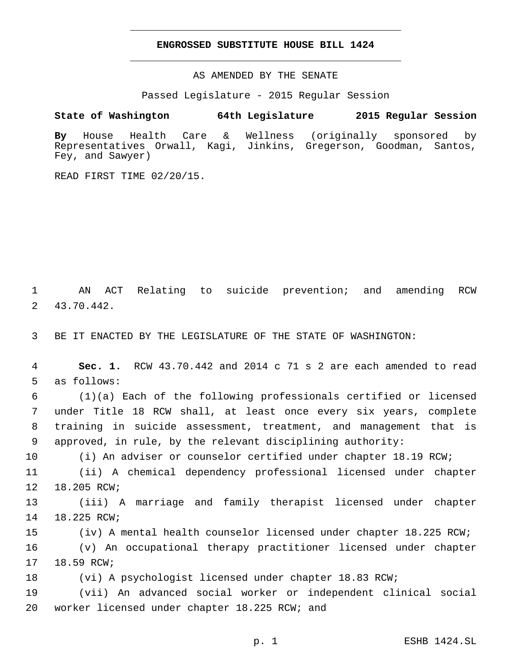### **ENGROSSED SUBSTITUTE HOUSE BILL 1424**

AS AMENDED BY THE SENATE

Passed Legislature - 2015 Regular Session

# **State of Washington 64th Legislature 2015 Regular Session**

**By** House Health Care & Wellness (originally sponsored by Representatives Orwall, Kagi, Jinkins, Gregerson, Goodman, Santos, Fey, and Sawyer)

READ FIRST TIME 02/20/15.

1 AN ACT Relating to suicide prevention; and amending RCW 43.70.442.2

3 BE IT ENACTED BY THE LEGISLATURE OF THE STATE OF WASHINGTON:

4 **Sec. 1.** RCW 43.70.442 and 2014 c 71 s 2 are each amended to read 5 as follows:

 (1)(a) Each of the following professionals certified or licensed under Title 18 RCW shall, at least once every six years, complete training in suicide assessment, treatment, and management that is approved, in rule, by the relevant disciplining authority:

10 (i) An adviser or counselor certified under chapter 18.19 RCW;

11 (ii) A chemical dependency professional licensed under chapter 12 18.205 RCW;

13 (iii) A marriage and family therapist licensed under chapter 14 18.225 RCW;

15 (iv) A mental health counselor licensed under chapter 18.225 RCW;

16 (v) An occupational therapy practitioner licensed under chapter 17 18.59 RCW;

18 (vi) A psychologist licensed under chapter 18.83 RCW;

19 (vii) An advanced social worker or independent clinical social 20 worker licensed under chapter 18.225 RCW; and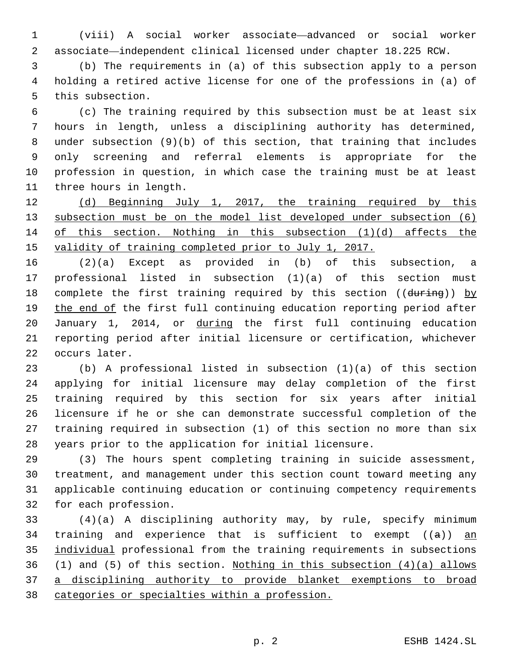(viii) A social worker associate—advanced or social worker associate—independent clinical licensed under chapter 18.225 RCW.

 (b) The requirements in (a) of this subsection apply to a person holding a retired active license for one of the professions in (a) of 5 this subsection.

 (c) The training required by this subsection must be at least six hours in length, unless a disciplining authority has determined, under subsection (9)(b) of this section, that training that includes only screening and referral elements is appropriate for the profession in question, in which case the training must be at least 11 three hours in length.

12 (d) Beginning July 1, 2017, the training required by this subsection must be on the model list developed under subsection (6) of this section. Nothing in this subsection (1)(d) affects the validity of training completed prior to July 1, 2017.

 (2)(a) Except as provided in (b) of this subsection, a professional listed in subsection (1)(a) of this section must 18 complete the first training required by this section ((during)) by the end of the first full continuing education reporting period after January 1, 2014, or during the first full continuing education reporting period after initial licensure or certification, whichever 22 occurs later.

 (b) A professional listed in subsection (1)(a) of this section applying for initial licensure may delay completion of the first training required by this section for six years after initial licensure if he or she can demonstrate successful completion of the training required in subsection (1) of this section no more than six years prior to the application for initial licensure.

 (3) The hours spent completing training in suicide assessment, treatment, and management under this section count toward meeting any applicable continuing education or continuing competency requirements 32 for each profession.

 (4)(a) A disciplining authority may, by rule, specify minimum 34 training and experience that is sufficient to exempt  $((a))$  an individual professional from the training requirements in subsections (1) and (5) of this section. Nothing in this subsection (4)(a) allows a disciplining authority to provide blanket exemptions to broad categories or specialties within a profession.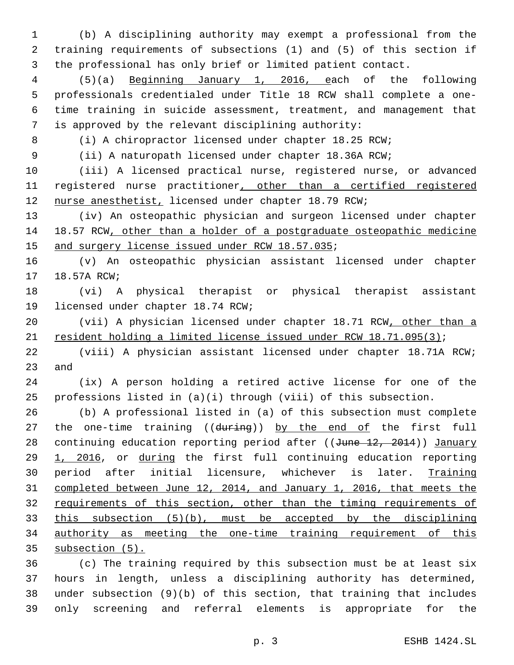(b) A disciplining authority may exempt a professional from the training requirements of subsections (1) and (5) of this section if the professional has only brief or limited patient contact.

 (5)(a) Beginning January 1, 2016, each of the following professionals credentialed under Title 18 RCW shall complete a one- time training in suicide assessment, treatment, and management that is approved by the relevant disciplining authority:

(i) A chiropractor licensed under chapter 18.25 RCW;

(ii) A naturopath licensed under chapter 18.36A RCW;

 (iii) A licensed practical nurse, registered nurse, or advanced 11 registered nurse practitioner, other than a certified registered

nurse anesthetist, licensed under chapter 18.79 RCW;

 (iv) An osteopathic physician and surgeon licensed under chapter 18.57 RCW, other than a holder of a postgraduate osteopathic medicine 15 and surgery license issued under RCW 18.57.035;

 (v) An osteopathic physician assistant licensed under chapter 17 18.57A RCW;

 (vi) A physical therapist or physical therapist assistant 19 licensed under chapter 18.74 RCW;

 (vii) A physician licensed under chapter 18.71 RCW, other than a 21 resident holding a limited license issued under RCW 18.71.095(3);

 (viii) A physician assistant licensed under chapter 18.71A RCW; 23 and

 (ix) A person holding a retired active license for one of the professions listed in (a)(i) through (viii) of this subsection.

 (b) A professional listed in (a) of this subsection must complete 27 the one-time training ((during)) by the end of the first full 28 continuing education reporting period after ((June 12, 2014)) January 29 1, 2016, or during the first full continuing education reporting 30 period after initial licensure, whichever is later. Training completed between June 12, 2014, and January 1, 2016, that meets the 32 requirements of this section, other than the timing requirements of this subsection (5)(b), must be accepted by the disciplining authority as meeting the one-time training requirement of this subsection (5).

 (c) The training required by this subsection must be at least six hours in length, unless a disciplining authority has determined, under subsection (9)(b) of this section, that training that includes only screening and referral elements is appropriate for the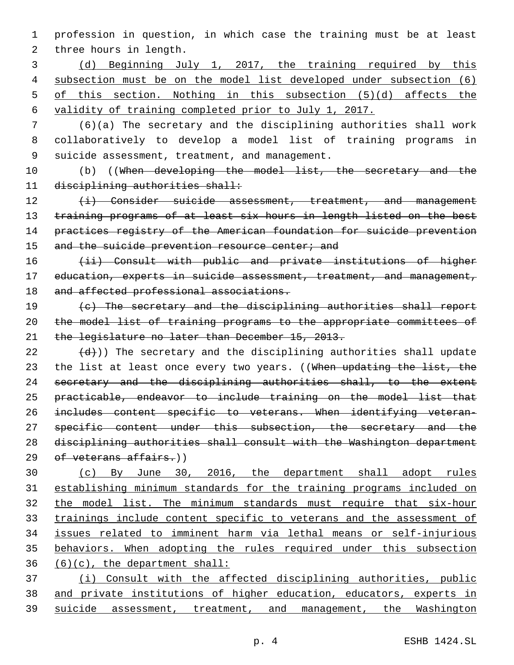profession in question, in which case the training must be at least 2 three hours in length.

 (d) Beginning July 1, 2017, the training required by this subsection must be on the model list developed under subsection (6) of this section. Nothing in this subsection (5)(d) affects the validity of training completed prior to July 1, 2017.

 (6)(a) The secretary and the disciplining authorities shall work collaboratively to develop a model list of training programs in 9 suicide assessment, treatment, and management.

10 (b) ((When developing the model list, the secretary and the 11 disciplining authorities shall:

12 (i) Consider suicide assessment, treatment, and management training programs of at least six hours in length listed on the best practices registry of the American foundation for suicide prevention 15 and the suicide prevention resource center; and

16 (ii) Consult with public and private institutions of higher 17 education, experts in suicide assessment, treatment, and management, 18 and affected professional associations.

 (c) The secretary and the disciplining authorities shall report the model list of training programs to the appropriate committees of the legislature no later than December 15, 2013.

 (d)) The secretary and the disciplining authorities shall update 23 the list at least once every two years. ((When updating the list, the secretary and the disciplining authorities shall, to the extent practicable, endeavor to include training on the model list that includes content specific to veterans. When identifying veteran-27 specific content under this subsection, the secretary and the disciplining authorities shall consult with the Washington department 29 of veterans affairs.))

 (c) By June 30, 2016, the department shall adopt rules establishing minimum standards for the training programs included on 32 the model list. The minimum standards must require that six-hour trainings include content specific to veterans and the assessment of issues related to imminent harm via lethal means or self-injurious behaviors. When adopting the rules required under this subsection (6)(c), the department shall:

 (i) Consult with the affected disciplining authorities, public and private institutions of higher education, educators, experts in suicide assessment, treatment, and management, the Washington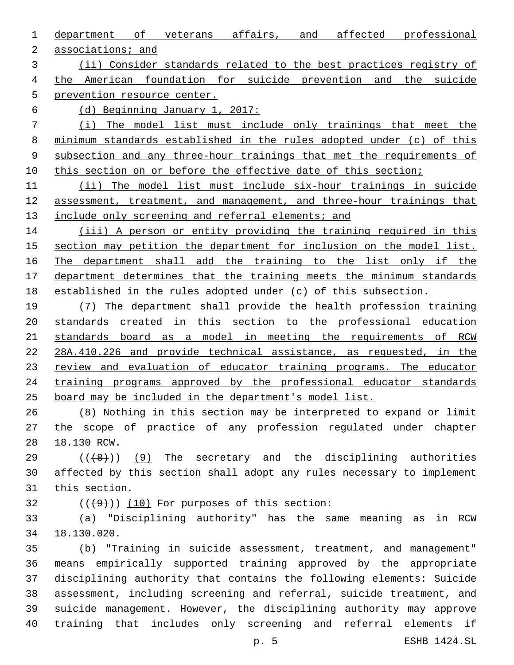department of veterans affairs, and affected professional

2 associations; and

 (ii) Consider standards related to the best practices registry of the American foundation for suicide prevention and the suicide prevention resource center.

(d) Beginning January 1, 2017:

 (i) The model list must include only trainings that meet the minimum standards established in the rules adopted under (c) of this subsection and any three-hour trainings that met the requirements of 10 this section on or before the effective date of this section;

 (ii) The model list must include six-hour trainings in suicide 12 assessment, treatment, and management, and three-hour trainings that 13 include only screening and referral elements; and

14 (iii) A person or entity providing the training required in this 15 section may petition the department for inclusion on the model list. The department shall add the training to the list only if the department determines that the training meets the minimum standards established in the rules adopted under (c) of this subsection.

 (7) The department shall provide the health profession training standards created in this section to the professional education standards board as a model in meeting the requirements of RCW 28A.410.226 and provide technical assistance, as requested, in the 23 review and evaluation of educator training programs. The educator training programs approved by the professional educator standards board may be included in the department's model list.

 (8) Nothing in this section may be interpreted to expand or limit the scope of practice of any profession regulated under chapter 28 18.130 RCW.

 $((+8+))$  (9) The secretary and the disciplining authorities affected by this section shall adopt any rules necessary to implement 31 this section.

 $(1)(49)$ ) (10) For purposes of this section:

 (a) "Disciplining authority" has the same meaning as in RCW 18.130.020.34

 (b) "Training in suicide assessment, treatment, and management" means empirically supported training approved by the appropriate disciplining authority that contains the following elements: Suicide assessment, including screening and referral, suicide treatment, and suicide management. However, the disciplining authority may approve training that includes only screening and referral elements if

p. 5 ESHB 1424.SL